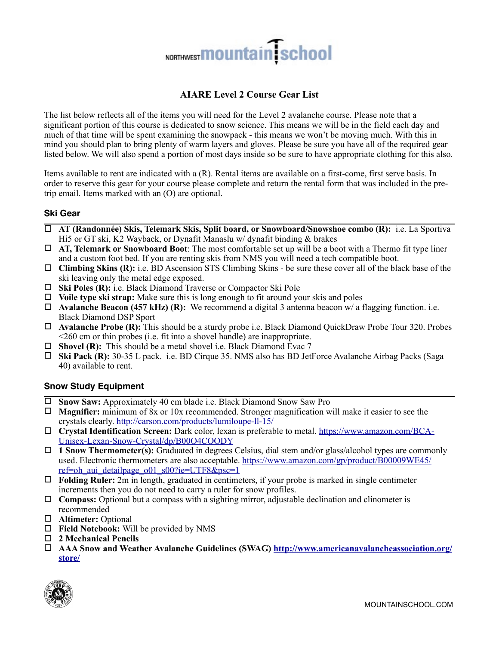# NORTHWEST **MOUNTAIN** School

## **AIARE Level 2 Course Gear List**

The list below reflects all of the items you will need for the Level 2 avalanche course. Please note that a significant portion of this course is dedicated to snow science. This means we will be in the field each day and much of that time will be spent examining the snowpack - this means we won't be moving much. With this in mind you should plan to bring plenty of warm layers and gloves. Please be sure you have all of the required gear listed below. We will also spend a portion of most days inside so be sure to have appropriate clothing for this also.

Items available to rent are indicated with a (R). Rental items are available on a first-come, first serve basis. In order to reserve this gear for your course please complete and return the rental form that was included in the pretrip email. Items marked with an (O) are optional.

## **Ski Gear**

- ! **AT (Randonnée) Skis, Telemark Skis, Split board, or Snowboard/Snowshoe combo (R):** i.e. La Sportiva Hi5 or GT ski, K2 Wayback, or Dynafit Manaslu w/ dynafit binding & brakes
- ! **AT, Telemark or Snowboard Boot**: The most comfortable set up will be a boot with a Thermo fit type liner and a custom foot bed. If you are renting skis from NMS you will need a tech compatible boot.
- ! **Climbing Skins (R):** i.e. BD Ascension STS Climbing Skins be sure these cover all of the black base of the ski leaving only the metal edge exposed.
- ! **Ski Poles (R):** i.e. Black Diamond Traverse or Compactor Ski Pole
- ! **Voile type ski strap:** Make sure this is long enough to fit around your skis and poles
- ! **Avalanche Beacon (457 kHz) (R):** We recommend a digital 3 antenna beacon w/ a flagging function. i.e. Black Diamond DSP Sport
- ! **Avalanche Probe (R):** This should be a sturdy probe i.e. Black Diamond QuickDraw Probe Tour 320. Probes <260 cm or thin probes (i.e. fit into a shovel handle) are inappropriate.
- □ **Shovel (R):** This should be a metal shovel i.e. Black Diamond Evac 7
- ! **Ski Pack (R):** 30-35 L pack. i.e. BD Cirque 35. NMS also has BD JetForce Avalanche Airbag Packs (Saga 40) available to rent.

## **Snow Study Equipment**

- ! **Snow Saw:** Approximately 40 cm blade i.e. Black Diamond Snow Saw Pro
- ! **Magnifier:** minimum of 8x or 10x recommended. Stronger magnification will make it easier to see the crystals clearly.<http://carson.com/products/lumiloupe-ll-15/>
- ! **Crystal Identification Screen:** [Dark color, lexan is preferable to metal. https://www.amazon.com/BCA-](https://www.amazon.com/BCA-Unisex-Lexan-Snow-Crystal/dp/B00O4COODY)Unisex-Lexan-Snow-Crystal/dp/B00O4COODY
- ! **1 Snow Thermometer(s):** Graduated in degrees Celsius, dial stem and/or glass/alcohol types are commonly [used. Electronic thermometers are also acceptable. https://www.amazon.com/gp/product/B00009WE45/](https://www.amazon.com/gp/product/B00009WE45/ref=oh_aui_detailpage_o01_s00?ie=UTF8&psc=1) ref=oh\_aui\_detailpage\_o01\_s00?ie=UTF8&psc=1
- ! **Folding Ruler:** 2m in length, graduated in centimeters, if your probe is marked in single centimeter increments then you do not need to carry a ruler for snow profiles.
- ! **Compass:** Optional but a compass with a sighting mirror, adjustable declination and clinometer is recommended
- ! **Altimeter:** Optional
- ! **Field Notebook:** Will be provided by NMS
- □ 2 Mechanical Pencils
- ! **[AAA Snow and Weather Avalanche Guidelines \(SWAG\) http://www.americanavalancheassociation.org/](http://www.americanavalancheassociation.org/store/) store/**

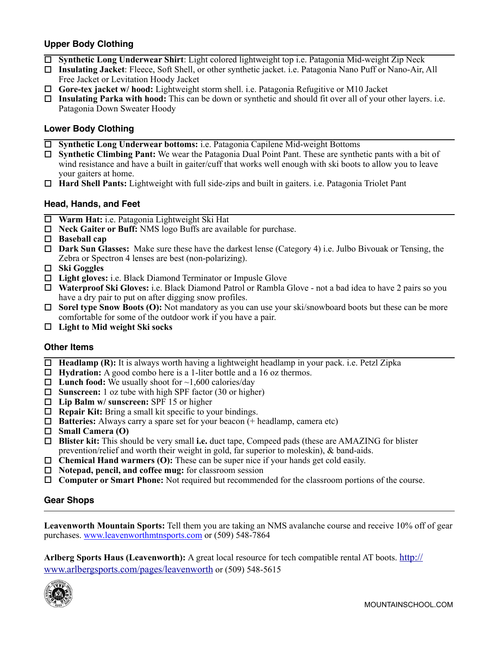## **Upper Body Clothing**

- ! **Synthetic Long Underwear Shirt**: Light colored lightweight top i.e. Patagonia Mid-weight Zip Neck
- ! **Insulating Jacket**: Fleece, Soft Shell, or other synthetic jacket. i.e. Patagonia Nano Puff or Nano-Air, All Free Jacket or Levitation Hoody Jacket
- ! **Gore-tex jacket w/ hood:** Lightweight storm shell. i.e. Patagonia Refugitive or M10 Jacket
- ! **Insulating Parka with hood:** This can be down or synthetic and should fit over all of your other layers. i.e. Patagonia Down Sweater Hoody

## **Lower Body Clothing**

- ! **Synthetic Long Underwear bottoms:** i.e. Patagonia Capilene Mid-weight Bottoms
- ! **Synthetic Climbing Pant:** We wear the Patagonia Dual Point Pant. These are synthetic pants with a bit of wind resistance and have a built in gaiter/cuff that works well enough with ski boots to allow you to leave your gaiters at home.
- ! **Hard Shell Pants:** Lightweight with full side-zips and built in gaiters. i.e. Patagonia Triolet Pant

## **Head, Hands, and Feet**

- ! **Warm Hat:** i.e. Patagonia Lightweight Ski Hat
- □ **Neck Gaiter or Buff:** NMS logo Buffs are available for purchase.
- ! **Baseball cap**
- ! **Dark Sun Glasses:** Make sure these have the darkest lense (Category 4) i.e. Julbo Bivouak or Tensing, the Zebra or Spectron 4 lenses are best (non-polarizing).
- ! **Ski Goggles**
- ! **Light gloves:** i.e. Black Diamond Terminator or Impusle Glove
- ! **Waterproof Ski Gloves:** i.e. Black Diamond Patrol or Rambla Glove not a bad idea to have 2 pairs so you have a dry pair to put on after digging snow profiles.
- □ **Sorel type Snow Boots (O):** Not mandatory as you can use your ski/snowboard boots but these can be more comfortable for some of the outdoor work if you have a pair.
- ! **Light to Mid weight Ski socks**

#### **Other Items**

- **Headlamp (R):** It is always worth having a lightweight headlamp in your pack. i.e. Petzl Zipka
- □ **Hydration:** A good combo here is a 1-liter bottle and a 16 oz thermos.
- $\Box$  **Lunch food:** We usually shoot for  $\sim$ 1,600 calories/day
- □ **Sunscreen:** 1 oz tube with high SPF factor (30 or higher)
- ! **Lip Balm w/ sunscreen:** SPF 15 or higher
- □ **Repair Kit:** Bring a small kit specific to your bindings.
- ! **Batteries:** Always carry a spare set for your beacon (+ headlamp, camera etc)
- ! **Small Camera (O)**
- ! **Blister kit:** This should be very small **i.e.** duct tape, Compeed pads (these are AMAZING for blister prevention/relief and worth their weight in gold, far superior to moleskin), & band-aids.
- □ **Chemical Hand warmers (O):** These can be super nice if your hands get cold easily.
- ! **Notepad, pencil, and coffee mug:** for classroom session
- □ **Computer or Smart Phone:** Not required but recommended for the classroom portions of the course.

## **Gear Shops**

**Leavenworth Mountain Sports:** Tell them you are taking an NMS avalanche course and receive 10% off of gear purchases. [www.leavenworthmtnsports.com](http://www.leavenworthmtnsports.com) or (509) 548-7864

**Arlberg Sports Haus (Leavenworth):** A great local resource for tech compatible rental AT boots. http:// [www.arlbergsports.com/pages/leavenworth or \(509\) 548-5615](http://www.arlbergsports.com/pages/leavenworth)